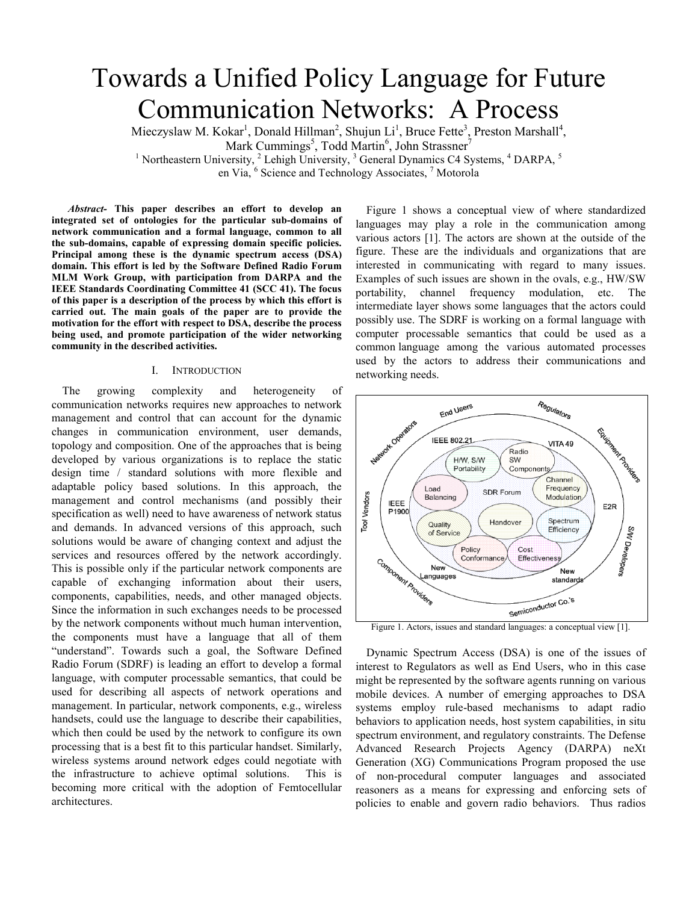# Towards a Unified Policy Language for Future Communication Networks: A Process

Mieczyslaw M. Kokar<sup>1</sup>, Donald Hillman<sup>2</sup>, Shujun Li<sup>1</sup>, Bruce Fette<sup>3</sup>, Preston Marshall<sup>4</sup>, Mark Cummings<sup>5</sup>, Todd Martin<sup>6</sup>, John Strassner<sup>7</sup>

<sup>1</sup> Northeastern University,  $2$  Lehigh University,  $3$  General Dynamics C4 Systems,  $4$  DARPA,  $5$ en Via, <sup>6</sup> Science and Technology Associates, <sup>7</sup> Motorola

*Abstract-* **This paper describes an effort to develop an integrated set of ontologies for the particular sub-domains of network communication and a formal language, common to all the sub-domains, capable of expressing domain specific policies. Principal among these is the dynamic spectrum access (DSA) domain. This effort is led by the Software Defined Radio Forum MLM Work Group, with participation from DARPA and the IEEE Standards Coordinating Committee 41 (SCC 41). The focus of this paper is a description of the process by which this effort is carried out. The main goals of the paper are to provide the motivation for the effort with respect to DSA, describe the process being used, and promote participation of the wider networking community in the described activities.** 

#### I. INTRODUCTION

The growing complexity and heterogeneity of communication networks requires new approaches to network management and control that can account for the dynamic changes in communication environment, user demands, topology and composition. One of the approaches that is being developed by various organizations is to replace the static design time / standard solutions with more flexible and adaptable policy based solutions. In this approach, the management and control mechanisms (and possibly their specification as well) need to have awareness of network status and demands. In advanced versions of this approach, such solutions would be aware of changing context and adjust the services and resources offered by the network accordingly. This is possible only if the particular network components are capable of exchanging information about their users, components, capabilities, needs, and other managed objects. Since the information in such exchanges needs to be processed by the network components without much human intervention, the components must have a language that all of them "understand". Towards such a goal, the Software Defined Radio Forum (SDRF) is leading an effort to develop a formal language, with computer processable semantics, that could be used for describing all aspects of network operations and management. In particular, network components, e.g., wireless handsets, could use the language to describe their capabilities, which then could be used by the network to configure its own processing that is a best fit to this particular handset. Similarly, wireless systems around network edges could negotiate with the infrastructure to achieve optimal solutions. This is becoming more critical with the adoption of Femtocellular architectures.

Figure 1 shows a conceptual view of where standardized languages may play a role in the communication among various actors [1]. The actors are shown at the outside of the figure. These are the individuals and organizations that are interested in communicating with regard to many issues. Examples of such issues are shown in the ovals, e.g., HW/SW portability, channel frequency modulation, etc. The intermediate layer shows some languages that the actors could possibly use. The SDRF is working on a formal language with computer processable semantics that could be used as a common language among the various automated processes used by the actors to address their communications and networking needs.



Figure 1. Actors, issues and standard languages: a conceptual view [1].

Dynamic Spectrum Access (DSA) is one of the issues of interest to Regulators as well as End Users, who in this case might be represented by the software agents running on various mobile devices. A number of emerging approaches to DSA systems employ rule-based mechanisms to adapt radio behaviors to application needs, host system capabilities, in situ spectrum environment, and regulatory constraints. The Defense Advanced Research Projects Agency (DARPA) neXt Generation (XG) Communications Program proposed the use of non-procedural computer languages and associated reasoners as a means for expressing and enforcing sets of policies to enable and govern radio behaviors. Thus radios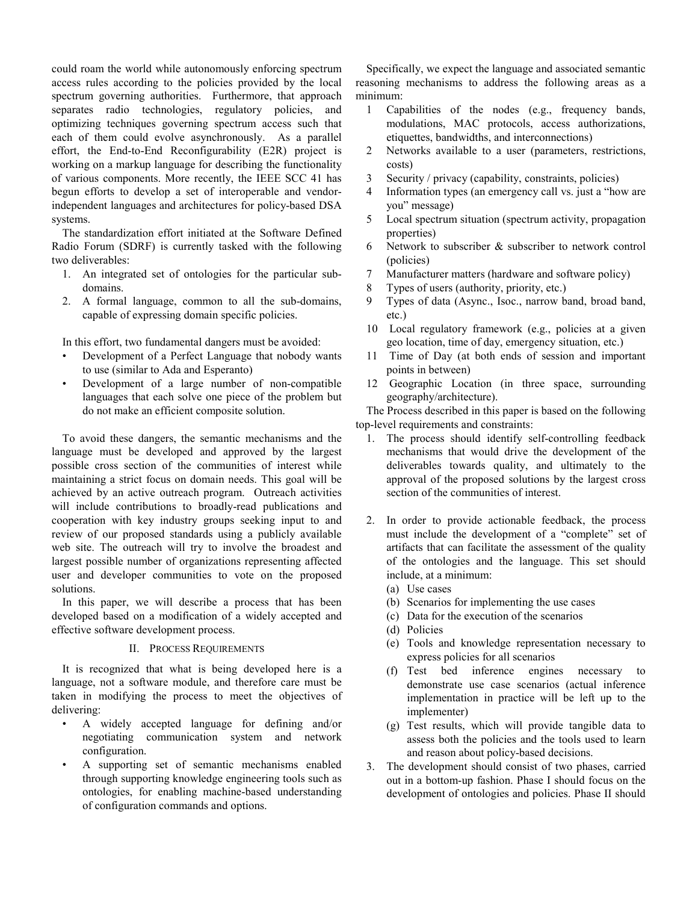could roam the world while autonomously enforcing spectrum access rules according to the policies provided by the local spectrum governing authorities. Furthermore, that approach separates radio technologies, regulatory policies, and optimizing techniques governing spectrum access such that each of them could evolve asynchronously. As a parallel effort, the End-to-End Reconfigurability (E2R) project is working on a markup language for describing the functionality of various components. More recently, the IEEE SCC 41 has begun efforts to develop a set of interoperable and vendorindependent languages and architectures for policy-based DSA systems.

The standardization effort initiated at the Software Defined Radio Forum (SDRF) is currently tasked with the following two deliverables:

- 1. An integrated set of ontologies for the particular subdomains.
- 2. A formal language, common to all the sub-domains, capable of expressing domain specific policies.

In this effort, two fundamental dangers must be avoided:

- Development of a Perfect Language that nobody wants to use (similar to Ada and Esperanto)
- Development of a large number of non-compatible languages that each solve one piece of the problem but do not make an efficient composite solution.

To avoid these dangers, the semantic mechanisms and the language must be developed and approved by the largest possible cross section of the communities of interest while maintaining a strict focus on domain needs. This goal will be achieved by an active outreach program. Outreach activities will include contributions to broadly-read publications and cooperation with key industry groups seeking input to and review of our proposed standards using a publicly available web site. The outreach will try to involve the broadest and largest possible number of organizations representing affected user and developer communities to vote on the proposed solutions.

In this paper, we will describe a process that has been developed based on a modification of a widely accepted and effective software development process.

## II. PROCESS REQUIREMENTS

It is recognized that what is being developed here is a language, not a software module, and therefore care must be taken in modifying the process to meet the objectives of delivering:

- A widely accepted language for defining and/or negotiating communication system and network configuration.
- A supporting set of semantic mechanisms enabled through supporting knowledge engineering tools such as ontologies, for enabling machine-based understanding of configuration commands and options.

Specifically, we expect the language and associated semantic reasoning mechanisms to address the following areas as a minimum:

- 1 Capabilities of the nodes (e.g., frequency bands, modulations, MAC protocols, access authorizations, etiquettes, bandwidths, and interconnections)
- 2 Networks available to a user (parameters, restrictions, costs)
- 3 Security / privacy (capability, constraints, policies)
- 4 Information types (an emergency call vs. just a "how are you" message)
- 5 Local spectrum situation (spectrum activity, propagation properties)
- 6 Network to subscriber & subscriber to network control (policies)
- 7 Manufacturer matters (hardware and software policy)
- 8 Types of users (authority, priority, etc.)
- 9 Types of data (Async., Isoc., narrow band, broad band, etc.)
- 10 Local regulatory framework (e.g., policies at a given geo location, time of day, emergency situation, etc.)
- 11 Time of Day (at both ends of session and important points in between)
- 12 Geographic Location (in three space, surrounding geography/architecture).

The Process described in this paper is based on the following top-level requirements and constraints:

- 1. The process should identify self-controlling feedback mechanisms that would drive the development of the deliverables towards quality, and ultimately to the approval of the proposed solutions by the largest cross section of the communities of interest.
- 2. In order to provide actionable feedback, the process must include the development of a "complete" set of artifacts that can facilitate the assessment of the quality of the ontologies and the language. This set should include, at a minimum:
	- (a) Use cases
	- (b) Scenarios for implementing the use cases
	- (c) Data for the execution of the scenarios
	- (d) Policies
	- (e) Tools and knowledge representation necessary to express policies for all scenarios
	- (f) Test bed inference engines necessary to demonstrate use case scenarios (actual inference implementation in practice will be left up to the implementer)
	- (g) Test results, which will provide tangible data to assess both the policies and the tools used to learn and reason about policy-based decisions.
- 3. The development should consist of two phases, carried out in a bottom-up fashion. Phase I should focus on the development of ontologies and policies. Phase II should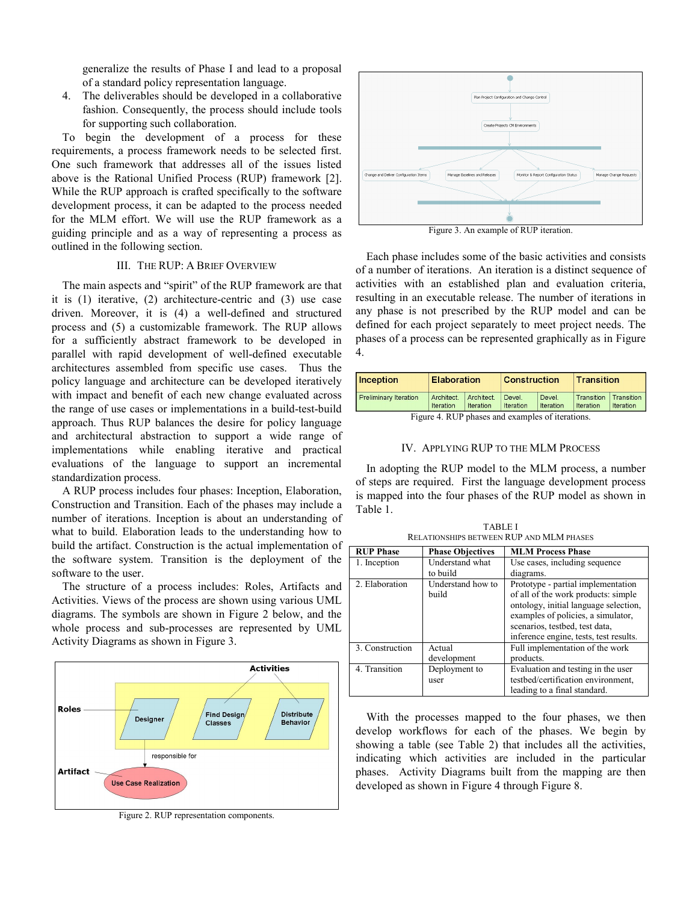generalize the results of Phase I and lead to a proposal of a standard policy representation language.

4. The deliverables should be developed in a collaborative fashion. Consequently, the process should include tools for supporting such collaboration.

To begin the development of a process for these requirements, a process framework needs to be selected first. One such framework that addresses all of the issues listed above is the Rational Unified Process (RUP) framework [2]. While the RUP approach is crafted specifically to the software development process, it can be adapted to the process needed for the MLM effort. We will use the RUP framework as a guiding principle and as a way of representing a process as outlined in the following section.

#### III. THE RUP: A BRIEF OVERVIEW

The main aspects and "spirit" of the RUP framework are that it is (1) iterative, (2) architecture-centric and (3) use case driven. Moreover, it is (4) a well-defined and structured process and (5) a customizable framework. The RUP allows for a sufficiently abstract framework to be developed in parallel with rapid development of well-defined executable architectures assembled from specific use cases. Thus the policy language and architecture can be developed iteratively with impact and benefit of each new change evaluated across the range of use cases or implementations in a build-test-build approach. Thus RUP balances the desire for policy language and architectural abstraction to support a wide range of implementations while enabling iterative and practical evaluations of the language to support an incremental standardization process.

A RUP process includes four phases: Inception, Elaboration, Construction and Transition. Each of the phases may include a number of iterations. Inception is about an understanding of what to build. Elaboration leads to the understanding how to build the artifact. Construction is the actual implementation of the software system. Transition is the deployment of the software to the user.

The structure of a process includes: Roles, Artifacts and Activities. Views of the process are shown using various UML diagrams. The symbols are shown in Figure 2 below, and the whole process and sub-processes are represented by UML Activity Diagrams as shown in Figure 3.



Figure 2. RUP representation components.



Figure 3. An example of RUP iteration.

Each phase includes some of the basic activities and consists of a number of iterations. An iteration is a distinct sequence of activities with an established plan and evaluation criteria, resulting in an executable release. The number of iterations in any phase is not prescribed by the RUP model and can be defined for each project separately to meet project needs. The phases of a process can be represented graphically as in Figure 4.

| Inception                                                                                    | <b>Elaboration</b>      |                         | <b>Construction</b> |                     | <b>Transition</b>       |                         |  |  |  |
|----------------------------------------------------------------------------------------------|-------------------------|-------------------------|---------------------|---------------------|-------------------------|-------------------------|--|--|--|
| <b>Preliminary Iteration</b>                                                                 | Architect.<br>Iteration | Architect.<br>Iteration | Devel.<br>Iteration | Devel.<br>Iteration | Transition<br>Iteration | Transition<br>Iteration |  |  |  |
| $E_{\text{curve}}$ $\Lambda$ D <sub>I</sub> D <sub></sub> phases and avamples of iterations. |                         |                         |                     |                     |                         |                         |  |  |  |

Figure 4. RUP phases and examples of iterations.

#### IV. APPLYING RUP TO THE MLM PROCESS

In adopting the RUP model to the MLM process, a number of steps are required. First the language development process is mapped into the four phases of the RUP model as shown in Table 1.

TABLE I RELATIONSHIPS BETWEEN RUP AND MLM PHASES

| <b>RUP Phase</b>               | <b>Phase Objectives</b>    | <b>MLM Process Phase</b>                                                                                                                                                                                                             |  |  |  |
|--------------------------------|----------------------------|--------------------------------------------------------------------------------------------------------------------------------------------------------------------------------------------------------------------------------------|--|--|--|
| 1. Inception                   | Understand what            | Use cases, including sequence                                                                                                                                                                                                        |  |  |  |
|                                | to build                   | diagrams.                                                                                                                                                                                                                            |  |  |  |
| 2. Elaboration                 | Understand how to<br>build | Prototype - partial implementation<br>of all of the work products: simple<br>ontology, initial language selection,<br>examples of policies, a simulator,<br>scenarios, testbed, test data,<br>inference engine, tests, test results. |  |  |  |
| 3. Construction                | Actual                     | Full implementation of the work                                                                                                                                                                                                      |  |  |  |
|                                | development                | products.                                                                                                                                                                                                                            |  |  |  |
| 4. Transition<br>Deployment to |                            | Evaluation and testing in the user                                                                                                                                                                                                   |  |  |  |
|                                | user                       | testbed/certification environment,                                                                                                                                                                                                   |  |  |  |
|                                |                            | leading to a final standard.                                                                                                                                                                                                         |  |  |  |

With the processes mapped to the four phases, we then develop workflows for each of the phases. We begin by showing a table (see Table 2) that includes all the activities, indicating which activities are included in the particular phases. Activity Diagrams built from the mapping are then developed as shown in Figure 4 through Figure 8.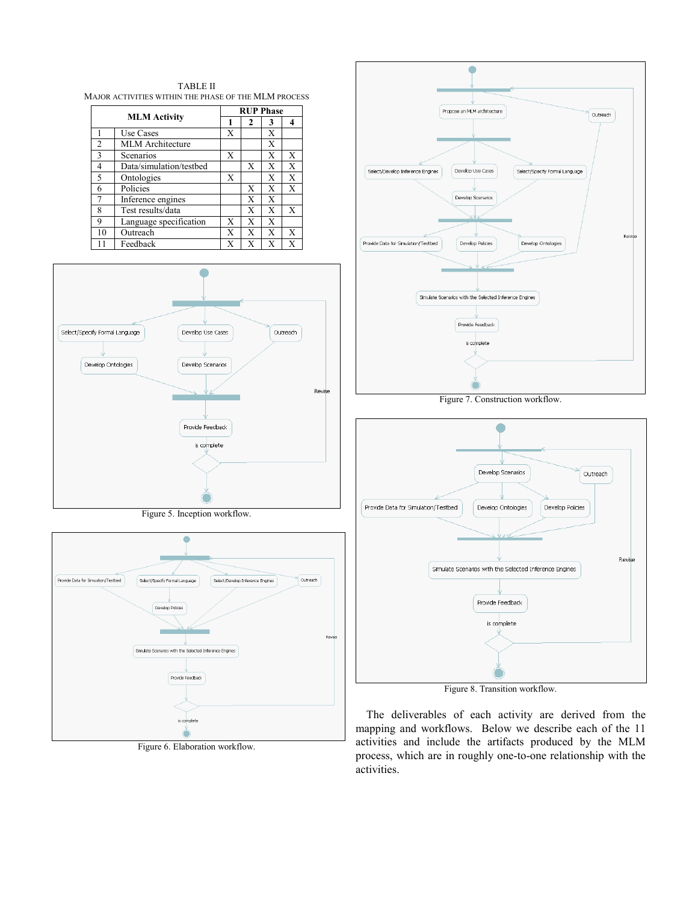TABLE II MAJOR ACTIVITIES WITHIN THE PHASE OF THE MLM PROCESS

| <b>MLM Activity</b> |                         |   | <b>RUP Phase</b> |   |   |  |  |
|---------------------|-------------------------|---|------------------|---|---|--|--|
|                     |                         |   | 2                | 3 | 4 |  |  |
|                     | Use Cases               | X |                  | X |   |  |  |
| $\overline{2}$      | <b>MLM</b> Architecture |   |                  | X |   |  |  |
| $\mathbf{3}$        | Scenarios               | X |                  | X | X |  |  |
| 4                   | Data/simulation/testbed |   | Х                | X | X |  |  |
| 5                   | Ontologies              | X |                  | X | X |  |  |
| 6                   | Policies                |   | X                | X | X |  |  |
|                     | Inference engines       |   | X                | X |   |  |  |
| 8                   | Test results/data       |   | X                | X | X |  |  |
| 9                   | Language specification  | X | X                | X |   |  |  |
| 10                  | Outreach                | X | X                | X | X |  |  |
|                     | Feedback                | X | X                | X | X |  |  |



Figure 5. Inception workflow.



Figure 6. Elaboration workflow.



Figure 7. Construction workflow.



Figure 8. Transition workflow.

The deliverables of each activity are derived from the mapping and workflows. Below we describe each of the 11 activities and include the artifacts produced by the MLM process, which are in roughly one-to-one relationship with the activities.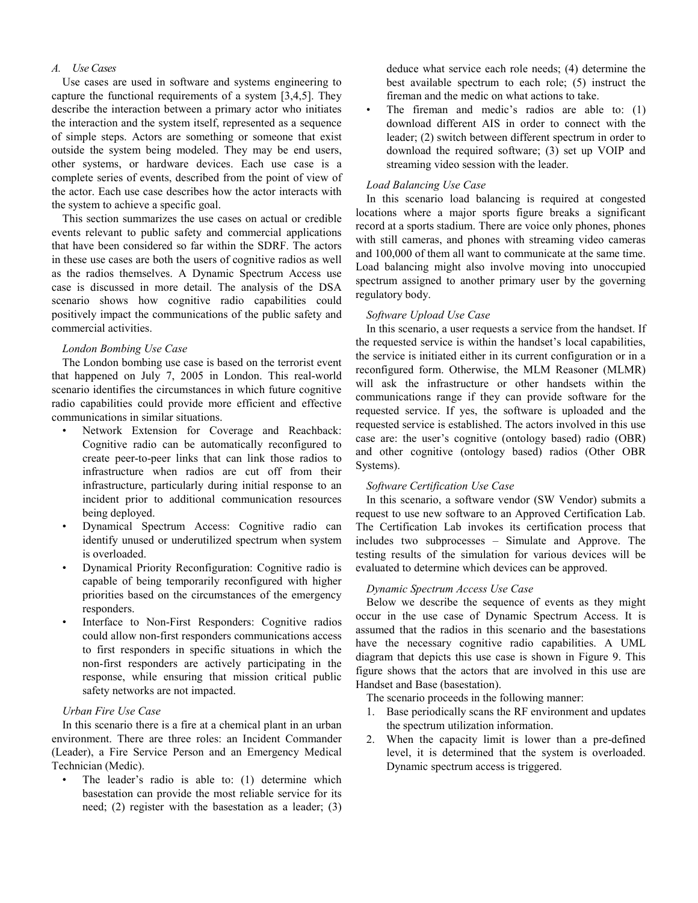## *A. Use Cases*

Use cases are used in software and systems engineering to capture the functional requirements of a system [3,4,5]. They describe the interaction between a primary actor who initiates the interaction and the system itself, represented as a sequence of simple steps. Actors are something or someone that exist outside the system being modeled. They may be end users, other systems, or hardware devices. Each use case is a complete series of events, described from the point of view of the actor. Each use case describes how the actor interacts with the system to achieve a specific goal.

This section summarizes the use cases on actual or credible events relevant to public safety and commercial applications that have been considered so far within the SDRF. The actors in these use cases are both the users of cognitive radios as well as the radios themselves. A Dynamic Spectrum Access use case is discussed in more detail. The analysis of the DSA scenario shows how cognitive radio capabilities could positively impact the communications of the public safety and commercial activities.

### *London Bombing Use Case*

The London bombing use case is based on the terrorist event that happened on July 7, 2005 in London. This real-world scenario identifies the circumstances in which future cognitive radio capabilities could provide more efficient and effective communications in similar situations.

- Network Extension for Coverage and Reachback: Cognitive radio can be automatically reconfigured to create peer-to-peer links that can link those radios to infrastructure when radios are cut off from their infrastructure, particularly during initial response to an incident prior to additional communication resources being deployed.
- Dynamical Spectrum Access: Cognitive radio can identify unused or underutilized spectrum when system is overloaded.
- Dynamical Priority Reconfiguration: Cognitive radio is capable of being temporarily reconfigured with higher priorities based on the circumstances of the emergency responders.
- Interface to Non-First Responders: Cognitive radios could allow non-first responders communications access to first responders in specific situations in which the non-first responders are actively participating in the response, while ensuring that mission critical public safety networks are not impacted.

## *Urban Fire Use Case*

In this scenario there is a fire at a chemical plant in an urban environment. There are three roles: an Incident Commander (Leader), a Fire Service Person and an Emergency Medical Technician (Medic).

The leader's radio is able to: (1) determine which basestation can provide the most reliable service for its need; (2) register with the basestation as a leader; (3)

deduce what service each role needs; (4) determine the best available spectrum to each role; (5) instruct the fireman and the medic on what actions to take.

The fireman and medic's radios are able to:  $(1)$ download different AIS in order to connect with the leader; (2) switch between different spectrum in order to download the required software; (3) set up VOIP and streaming video session with the leader.

#### *Load Balancing Use Case*

In this scenario load balancing is required at congested locations where a major sports figure breaks a significant record at a sports stadium. There are voice only phones, phones with still cameras, and phones with streaming video cameras and 100,000 of them all want to communicate at the same time. Load balancing might also involve moving into unoccupied spectrum assigned to another primary user by the governing regulatory body.

#### *Software Upload Use Case*

In this scenario, a user requests a service from the handset. If the requested service is within the handset's local capabilities, the service is initiated either in its current configuration or in a reconfigured form. Otherwise, the MLM Reasoner (MLMR) will ask the infrastructure or other handsets within the communications range if they can provide software for the requested service. If yes, the software is uploaded and the requested service is established. The actors involved in this use case are: the user's cognitive (ontology based) radio (OBR) and other cognitive (ontology based) radios (Other OBR Systems).

#### *Software Certification Use Case*

In this scenario, a software vendor (SW Vendor) submits a request to use new software to an Approved Certification Lab. The Certification Lab invokes its certification process that includes two subprocesses – Simulate and Approve. The testing results of the simulation for various devices will be evaluated to determine which devices can be approved.

#### *Dynamic Spectrum Access Use Case*

Below we describe the sequence of events as they might occur in the use case of Dynamic Spectrum Access. It is assumed that the radios in this scenario and the basestations have the necessary cognitive radio capabilities. A UML diagram that depicts this use case is shown in Figure 9. This figure shows that the actors that are involved in this use are Handset and Base (basestation).

The scenario proceeds in the following manner:

- 1. Base periodically scans the RF environment and updates the spectrum utilization information.
- 2. When the capacity limit is lower than a pre-defined level, it is determined that the system is overloaded. Dynamic spectrum access is triggered.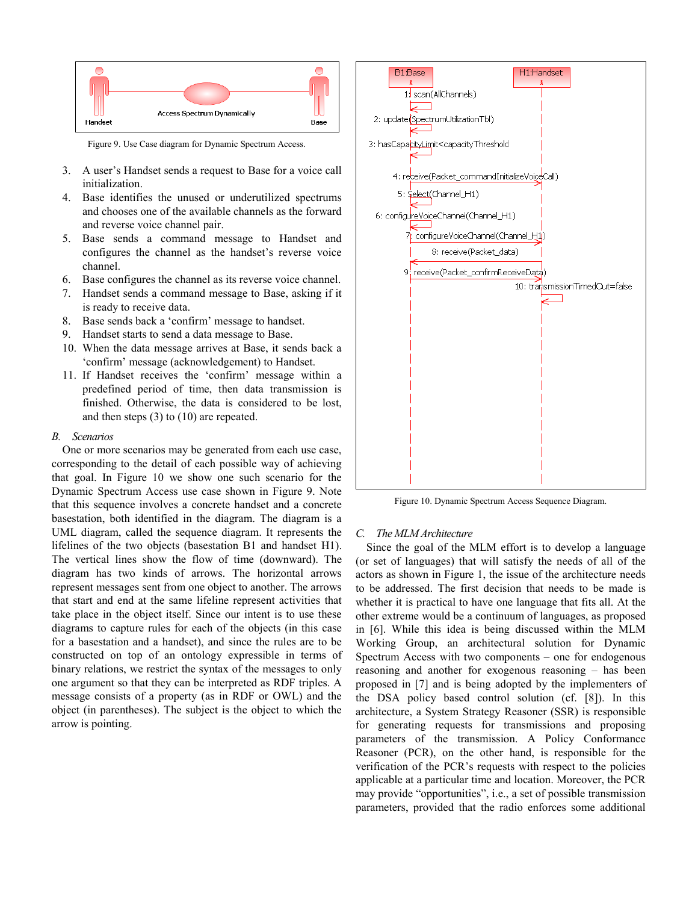

Figure 9. Use Case diagram for Dynamic Spectrum Access.

- 3. A user's Handset sends a request to Base for a voice call initialization.
- 4. Base identifies the unused or underutilized spectrums and chooses one of the available channels as the forward and reverse voice channel pair.
- 5. Base sends a command message to Handset and configures the channel as the handset's reverse voice channel.
- 6. Base configures the channel as its reverse voice channel.
- 7. Handset sends a command message to Base, asking if it is ready to receive data.
- 8. Base sends back a 'confirm' message to handset.
- 9. Handset starts to send a data message to Base.
- 10. When the data message arrives at Base, it sends back a 'confirm' message (acknowledgement) to Handset.
- 11. If Handset receives the 'confirm' message within a predefined period of time, then data transmission is finished. Otherwise, the data is considered to be lost, and then steps (3) to (10) are repeated.

#### *B. Scenarios*

One or more scenarios may be generated from each use case, corresponding to the detail of each possible way of achieving that goal. In Figure 10 we show one such scenario for the Dynamic Spectrum Access use case shown in Figure 9. Note that this sequence involves a concrete handset and a concrete basestation, both identified in the diagram. The diagram is a UML diagram, called the sequence diagram. It represents the lifelines of the two objects (basestation B1 and handset H1). The vertical lines show the flow of time (downward). The diagram has two kinds of arrows. The horizontal arrows represent messages sent from one object to another. The arrows that start and end at the same lifeline represent activities that take place in the object itself. Since our intent is to use these diagrams to capture rules for each of the objects (in this case for a basestation and a handset), and since the rules are to be constructed on top of an ontology expressible in terms of binary relations, we restrict the syntax of the messages to only one argument so that they can be interpreted as RDF triples. A message consists of a property (as in RDF or OWL) and the object (in parentheses). The subject is the object to which the arrow is pointing.



Figure 10. Dynamic Spectrum Access Sequence Diagram.

#### *C. The MLM Architecture*

Since the goal of the MLM effort is to develop a language (or set of languages) that will satisfy the needs of all of the actors as shown in Figure 1, the issue of the architecture needs to be addressed. The first decision that needs to be made is whether it is practical to have one language that fits all. At the other extreme would be a continuum of languages, as proposed in [6]. While this idea is being discussed within the MLM Working Group, an architectural solution for Dynamic Spectrum Access with two components – one for endogenous reasoning and another for exogenous reasoning – has been proposed in [7] and is being adopted by the implementers of the DSA policy based control solution (cf. [8]). In this architecture, a System Strategy Reasoner (SSR) is responsible for generating requests for transmissions and proposing parameters of the transmission. A Policy Conformance Reasoner (PCR), on the other hand, is responsible for the verification of the PCR's requests with respect to the policies applicable at a particular time and location. Moreover, the PCR may provide "opportunities", i.e., a set of possible transmission parameters, provided that the radio enforces some additional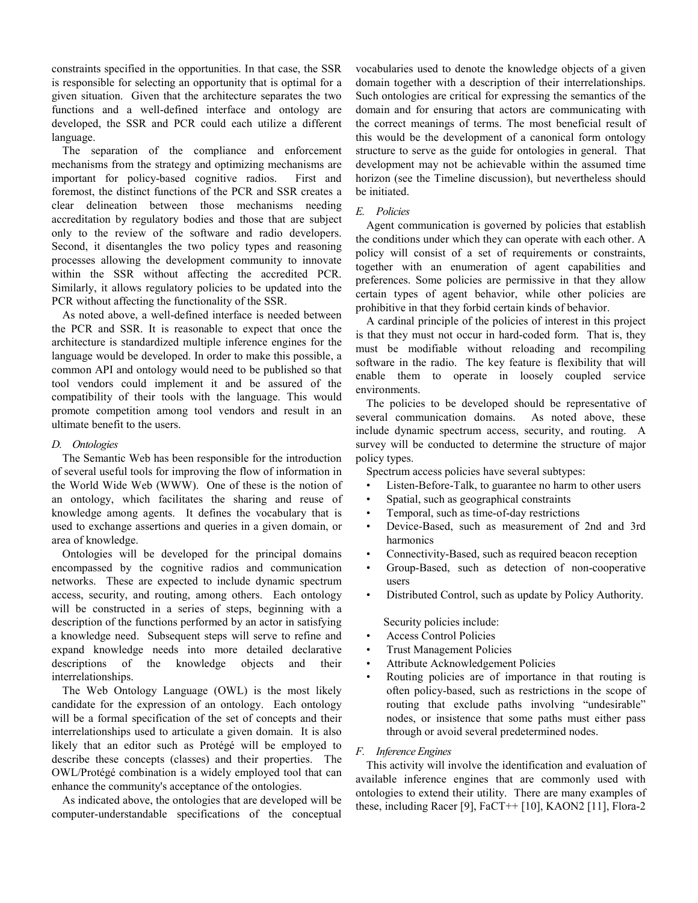constraints specified in the opportunities. In that case, the SSR is responsible for selecting an opportunity that is optimal for a given situation. Given that the architecture separates the two functions and a well-defined interface and ontology are developed, the SSR and PCR could each utilize a different language.

The separation of the compliance and enforcement mechanisms from the strategy and optimizing mechanisms are important for policy-based cognitive radios. First and foremost, the distinct functions of the PCR and SSR creates a clear delineation between those mechanisms needing accreditation by regulatory bodies and those that are subject only to the review of the software and radio developers. Second, it disentangles the two policy types and reasoning processes allowing the development community to innovate within the SSR without affecting the accredited PCR. Similarly, it allows regulatory policies to be updated into the PCR without affecting the functionality of the SSR.

As noted above, a well-defined interface is needed between the PCR and SSR. It is reasonable to expect that once the architecture is standardized multiple inference engines for the language would be developed. In order to make this possible, a common API and ontology would need to be published so that tool vendors could implement it and be assured of the compatibility of their tools with the language. This would promote competition among tool vendors and result in an ultimate benefit to the users.

### *D. Ontologies*

The Semantic Web has been responsible for the introduction of several useful tools for improving the flow of information in the World Wide Web (WWW). One of these is the notion of an ontology, which facilitates the sharing and reuse of knowledge among agents. It defines the vocabulary that is used to exchange assertions and queries in a given domain, or area of knowledge.

Ontologies will be developed for the principal domains encompassed by the cognitive radios and communication networks. These are expected to include dynamic spectrum access, security, and routing, among others. Each ontology will be constructed in a series of steps, beginning with a description of the functions performed by an actor in satisfying a knowledge need. Subsequent steps will serve to refine and expand knowledge needs into more detailed declarative descriptions of the knowledge objects and their interrelationships.

The Web Ontology Language (OWL) is the most likely candidate for the expression of an ontology. Each ontology will be a formal specification of the set of concepts and their interrelationships used to articulate a given domain. It is also likely that an editor such as Protégé will be employed to describe these concepts (classes) and their properties. The OWL/Protégé combination is a widely employed tool that can enhance the community's acceptance of the ontologies.

As indicated above, the ontologies that are developed will be computer-understandable specifications of the conceptual

vocabularies used to denote the knowledge objects of a given domain together with a description of their interrelationships. Such ontologies are critical for expressing the semantics of the domain and for ensuring that actors are communicating with the correct meanings of terms. The most beneficial result of this would be the development of a canonical form ontology structure to serve as the guide for ontologies in general. That development may not be achievable within the assumed time horizon (see the Timeline discussion), but nevertheless should be initiated.

## *E. Policies*

Agent communication is governed by policies that establish the conditions under which they can operate with each other. A policy will consist of a set of requirements or constraints, together with an enumeration of agent capabilities and preferences. Some policies are permissive in that they allow certain types of agent behavior, while other policies are prohibitive in that they forbid certain kinds of behavior.

A cardinal principle of the policies of interest in this project is that they must not occur in hard-coded form. That is, they must be modifiable without reloading and recompiling software in the radio. The key feature is flexibility that will enable them to operate in loosely coupled service environments.

The policies to be developed should be representative of several communication domains. As noted above, these include dynamic spectrum access, security, and routing. A survey will be conducted to determine the structure of major policy types.

Spectrum access policies have several subtypes:

- Listen-Before-Talk, to guarantee no harm to other users
- Spatial, such as geographical constraints
- Temporal, such as time-of-day restrictions
- Device-Based, such as measurement of 2nd and 3rd harmonics
- Connectivity-Based, such as required beacon reception
- Group-Based, such as detection of non-cooperative users
- Distributed Control, such as update by Policy Authority.

Security policies include:

- Access Control Policies
- Trust Management Policies
- Attribute Acknowledgement Policies
- Routing policies are of importance in that routing is often policy-based, such as restrictions in the scope of routing that exclude paths involving "undesirable" nodes, or insistence that some paths must either pass through or avoid several predetermined nodes.

## *F. Inference Engines*

This activity will involve the identification and evaluation of available inference engines that are commonly used with ontologies to extend their utility. There are many examples of these, including Racer [9], FaCT++ [10], KAON2 [11], Flora-2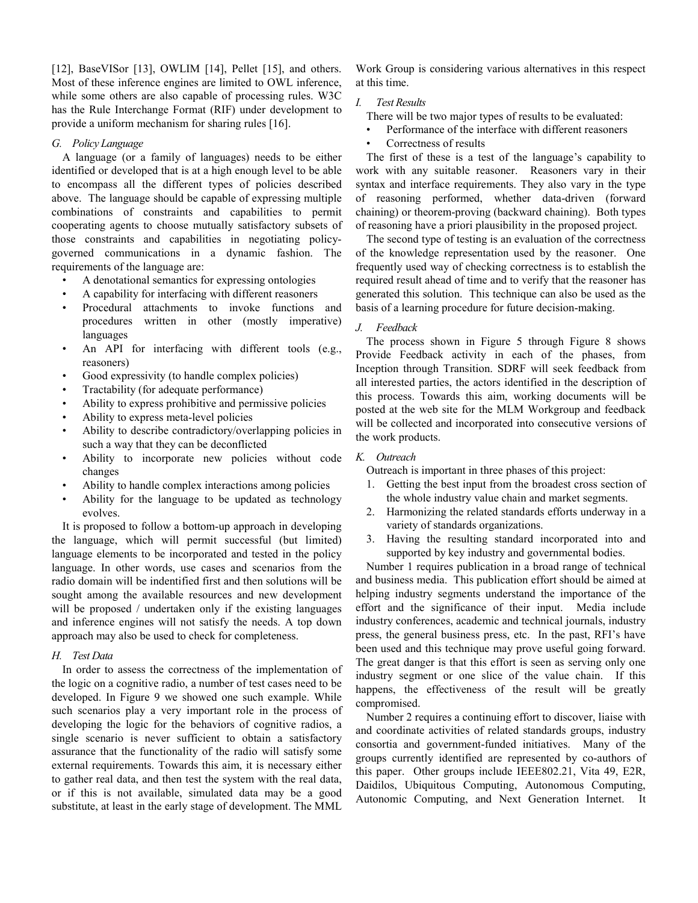[12], BaseVISor [13], OWLIM [14], Pellet [15], and others. Most of these inference engines are limited to OWL inference, while some others are also capable of processing rules. W3C has the Rule Interchange Format (RIF) under development to provide a uniform mechanism for sharing rules [16].

### *G. Policy Language*

A language (or a family of languages) needs to be either identified or developed that is at a high enough level to be able to encompass all the different types of policies described above. The language should be capable of expressing multiple combinations of constraints and capabilities to permit cooperating agents to choose mutually satisfactory subsets of those constraints and capabilities in negotiating policygoverned communications in a dynamic fashion. The requirements of the language are:

- A denotational semantics for expressing ontologies
- A capability for interfacing with different reasoners
- Procedural attachments to invoke functions and procedures written in other (mostly imperative) languages
- An API for interfacing with different tools (e.g., reasoners)
- Good expressivity (to handle complex policies)
- Tractability (for adequate performance)
- Ability to express prohibitive and permissive policies
- Ability to express meta-level policies
- Ability to describe contradictory/overlapping policies in such a way that they can be deconflicted
- Ability to incorporate new policies without code changes
- Ability to handle complex interactions among policies
- Ability for the language to be updated as technology evolves.

It is proposed to follow a bottom-up approach in developing the language, which will permit successful (but limited) language elements to be incorporated and tested in the policy language. In other words, use cases and scenarios from the radio domain will be indentified first and then solutions will be sought among the available resources and new development will be proposed / undertaken only if the existing languages and inference engines will not satisfy the needs. A top down approach may also be used to check for completeness.

### *H. Test Data*

In order to assess the correctness of the implementation of the logic on a cognitive radio, a number of test cases need to be developed. In Figure 9 we showed one such example. While such scenarios play a very important role in the process of developing the logic for the behaviors of cognitive radios, a single scenario is never sufficient to obtain a satisfactory assurance that the functionality of the radio will satisfy some external requirements. Towards this aim, it is necessary either to gather real data, and then test the system with the real data, or if this is not available, simulated data may be a good substitute, at least in the early stage of development. The MML

Work Group is considering various alternatives in this respect at this time.

#### *I. Test Results*

There will be two major types of results to be evaluated:

- Performance of the interface with different reasoners
- Correctness of results

The first of these is a test of the language's capability to work with any suitable reasoner. Reasoners vary in their syntax and interface requirements. They also vary in the type of reasoning performed, whether data-driven (forward chaining) or theorem-proving (backward chaining). Both types of reasoning have a priori plausibility in the proposed project.

The second type of testing is an evaluation of the correctness of the knowledge representation used by the reasoner. One frequently used way of checking correctness is to establish the required result ahead of time and to verify that the reasoner has generated this solution. This technique can also be used as the basis of a learning procedure for future decision-making.

## *J. Feedback*

The process shown in Figure 5 through Figure 8 shows Provide Feedback activity in each of the phases, from Inception through Transition. SDRF will seek feedback from all interested parties, the actors identified in the description of this process. Towards this aim, working documents will be posted at the web site for the MLM Workgroup and feedback will be collected and incorporated into consecutive versions of the work products.

### *K. Outreach*

Outreach is important in three phases of this project:

- 1. Getting the best input from the broadest cross section of the whole industry value chain and market segments.
- 2. Harmonizing the related standards efforts underway in a variety of standards organizations.
- 3. Having the resulting standard incorporated into and supported by key industry and governmental bodies.

Number 1 requires publication in a broad range of technical and business media. This publication effort should be aimed at helping industry segments understand the importance of the effort and the significance of their input. Media include industry conferences, academic and technical journals, industry press, the general business press, etc. In the past, RFI's have been used and this technique may prove useful going forward. The great danger is that this effort is seen as serving only one industry segment or one slice of the value chain. If this happens, the effectiveness of the result will be greatly compromised.

Number 2 requires a continuing effort to discover, liaise with and coordinate activities of related standards groups, industry consortia and government-funded initiatives. Many of the groups currently identified are represented by co-authors of this paper. Other groups include IEEE802.21, Vita 49, E2R, Daidilos, Ubiquitous Computing, Autonomous Computing, Autonomic Computing, and Next Generation Internet. It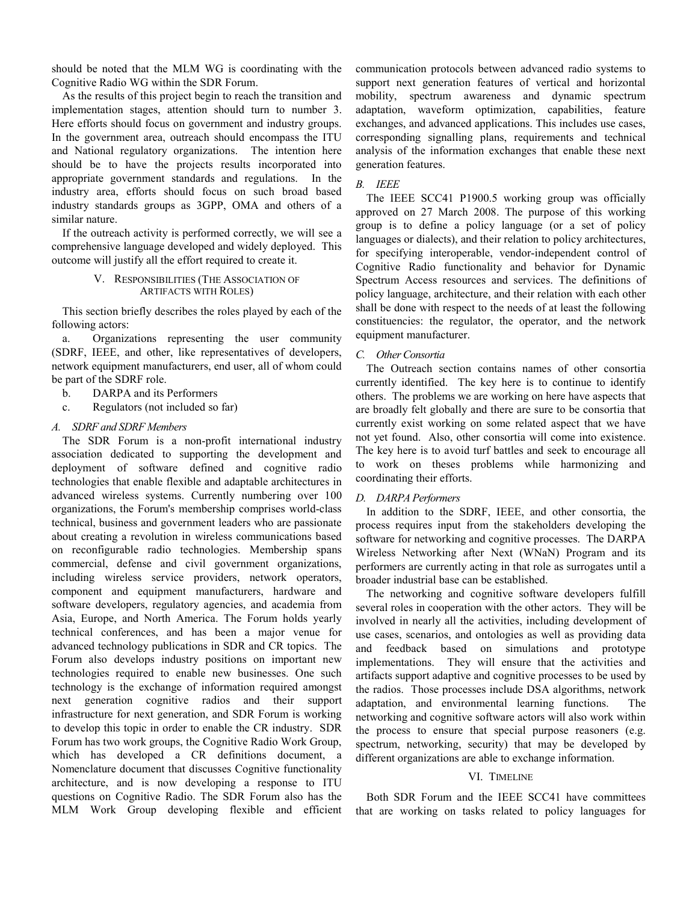should be noted that the MLM WG is coordinating with the Cognitive Radio WG within the SDR Forum.

As the results of this project begin to reach the transition and implementation stages, attention should turn to number 3. Here efforts should focus on government and industry groups. In the government area, outreach should encompass the ITU and National regulatory organizations. The intention here should be to have the projects results incorporated into appropriate government standards and regulations. In the industry area, efforts should focus on such broad based industry standards groups as 3GPP, OMA and others of a similar nature.

If the outreach activity is performed correctly, we will see a comprehensive language developed and widely deployed. This outcome will justify all the effort required to create it.

### V. RESPONSIBILITIES (THE ASSOCIATION OF ARTIFACTS WITH ROLES)

This section briefly describes the roles played by each of the following actors:

a. Organizations representing the user community (SDRF, IEEE, and other, like representatives of developers, network equipment manufacturers, end user, all of whom could be part of the SDRF role.

- b. DARPA and its Performers
- c. Regulators (not included so far)

### *A. SDRF and SDRF Members*

The SDR Forum is a non-profit international industry association dedicated to supporting the development and deployment of software defined and cognitive radio technologies that enable flexible and adaptable architectures in advanced wireless systems. Currently numbering over 100 organizations, the Forum's membership comprises world-class technical, business and government leaders who are passionate about creating a revolution in wireless communications based on reconfigurable radio technologies. Membership spans commercial, defense and civil government organizations, including wireless service providers, network operators, component and equipment manufacturers, hardware and software developers, regulatory agencies, and academia from Asia, Europe, and North America. The Forum holds yearly technical conferences, and has been a major venue for advanced technology publications in SDR and CR topics. The Forum also develops industry positions on important new technologies required to enable new businesses. One such technology is the exchange of information required amongst next generation cognitive radios and their support infrastructure for next generation, and SDR Forum is working to develop this topic in order to enable the CR industry. SDR Forum has two work groups, the Cognitive Radio Work Group, which has developed a CR definitions document, a Nomenclature document that discusses Cognitive functionality architecture, and is now developing a response to ITU questions on Cognitive Radio. The SDR Forum also has the MLM Work Group developing flexible and efficient communication protocols between advanced radio systems to support next generation features of vertical and horizontal mobility, spectrum awareness and dynamic spectrum adaptation, waveform optimization, capabilities, feature exchanges, and advanced applications. This includes use cases, corresponding signalling plans, requirements and technical analysis of the information exchanges that enable these next generation features.

## *B. IEEE*

The IEEE SCC41 P1900.5 working group was officially approved on 27 March 2008. The purpose of this working group is to define a policy language (or a set of policy languages or dialects), and their relation to policy architectures, for specifying interoperable, vendor-independent control of Cognitive Radio functionality and behavior for Dynamic Spectrum Access resources and services. The definitions of policy language, architecture, and their relation with each other shall be done with respect to the needs of at least the following constituencies: the regulator, the operator, and the network equipment manufacturer.

## *C. Other Consortia*

The Outreach section contains names of other consortia currently identified. The key here is to continue to identify others. The problems we are working on here have aspects that are broadly felt globally and there are sure to be consortia that currently exist working on some related aspect that we have not yet found. Also, other consortia will come into existence. The key here is to avoid turf battles and seek to encourage all to work on theses problems while harmonizing and coordinating their efforts.

## *D. DARPA Performers*

In addition to the SDRF, IEEE, and other consortia, the process requires input from the stakeholders developing the software for networking and cognitive processes. The DARPA Wireless Networking after Next (WNaN) Program and its performers are currently acting in that role as surrogates until a broader industrial base can be established.

The networking and cognitive software developers fulfill several roles in cooperation with the other actors. They will be involved in nearly all the activities, including development of use cases, scenarios, and ontologies as well as providing data and feedback based on simulations and prototype implementations. They will ensure that the activities and artifacts support adaptive and cognitive processes to be used by the radios. Those processes include DSA algorithms, network adaptation, and environmental learning functions. The networking and cognitive software actors will also work within the process to ensure that special purpose reasoners (e.g. spectrum, networking, security) that may be developed by different organizations are able to exchange information.

### VI. TIMELINE

Both SDR Forum and the IEEE SCC41 have committees that are working on tasks related to policy languages for